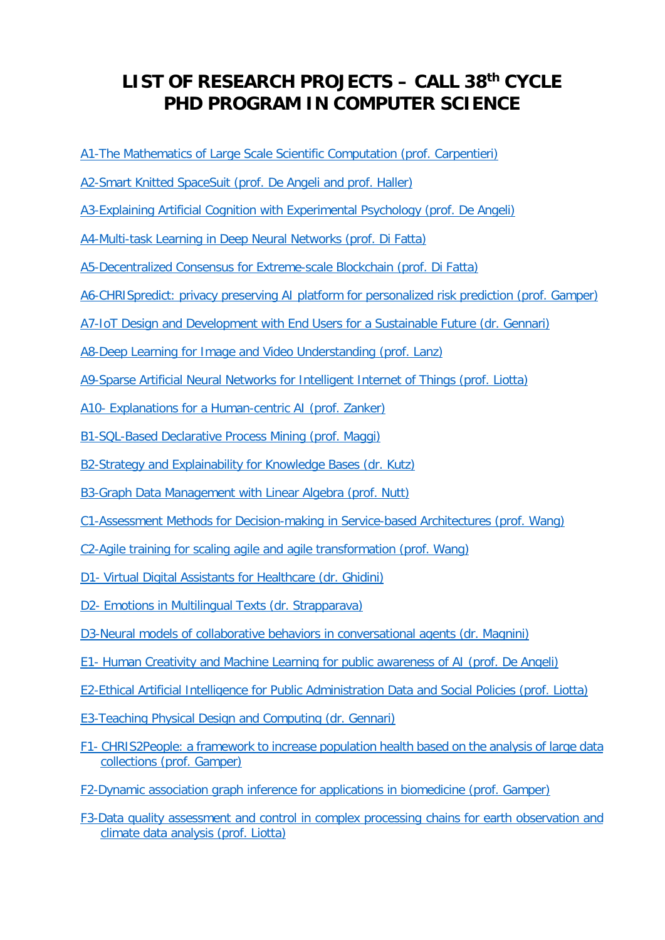# <span id="page-0-0"></span>**LIST OF RESEARCH PROJECTS – CALL 38th CYCLE PHD PROGRAM IN COMPUTER SCIENCE**

- [A1-The Mathematics of Large Scale Scientific Computation \(prof. Carpentieri\)](#page-2-0)
- [A2-Smart Knitted SpaceSuit \(prof. De Angeli](#page-2-1) and prof. Haller)
- [A3-Explaining Artificial Cognition with Experimental Psychology \(prof. De Angeli\)](#page-3-0)
- [A4-Multi-task Learning in Deep Neural Networks \(prof. Di Fatta\)](#page-3-1)
- [A5-Decentralized Consensus for Extreme-scale Blockchain \(prof. Di Fatta\)](#page-4-0)
- [A6-CHRISpredict: privacy preserving AI platform for personalized risk prediction \(prof. Gamper\)](#page-4-1)
- [A7-IoT Design and Development with End Users for a Sustainable Future \(dr. Gennari\)](#page-5-0)
- [A8-Deep Learning for Image and Video Understanding \(prof. Lanz\)](#page-5-1)
- [A9-Sparse Artificial Neural Networks for Intelligent Internet of Things \(prof. Liotta\)](#page-6-0)
- A10- [Explanations for a Human-centric AI \(prof. Zanker\)](#page-6-1)
- [B1-SQL-Based Declarative Process Mining \(prof. Maggi\)](#page-7-0)
- [B2-Strategy and Explainability for Knowledge Bases \(dr. Kutz\)](#page-7-1)
- [B3-Graph Data Management with Linear Algebra \(prof. Nutt\)](#page-8-0)
- [C1-Assessment Methods for Decision-making in Service-based Architectures \(prof. Wang\)](#page-8-1)
- [C2-Agile training for scaling agile and agile transformation \(prof. Wang\)](#page-9-0)
- D1- [Virtual Digital Assistants for Healthcare](#page-9-1) (dr. Ghidini)
- D2- [Emotions in Multilingual Texts \(dr. Strapparava\)](#page-10-0)
- [D3-Neural models of collaborative behaviors in conversational agents \(dr. Magnini\)](#page-10-1)
- E1- [Human Creativity and Machine Learning for public awareness of AI \(prof. De Angeli\)](#page-11-0)
- [E2-Ethical Artificial Intelligence for Public Administration Data and Social Policies \(prof. Liotta\)](#page-12-0)
- [E3-Teaching Physical Design and Computing \(dr. Gennari\)](#page-12-1)
- F1- [CHRIS2People: a framework to increase population health based on the analysis of large data](#page-12-0)  collections [\(prof. Gamper\)](#page-12-0)
- [F2-Dynamic association graph inference for applications in biomedicine \(prof. Gamper\)](#page-13-0)
- [F3-Data quality assessment and control in complex processing chains for earth observation and](#page-13-1)  [climate data analysis \(prof. Liotta\)](#page-13-1)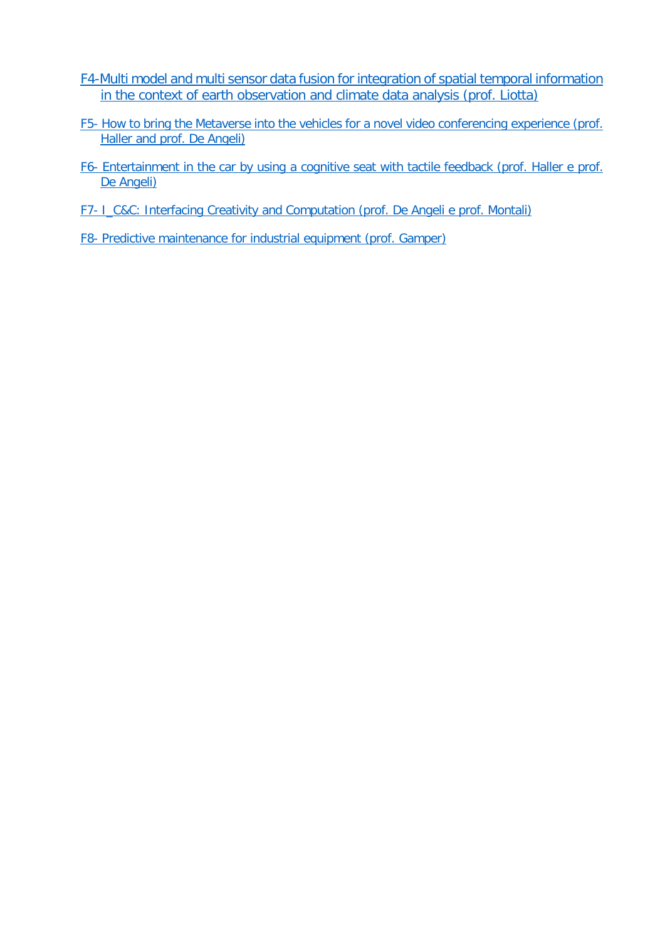- [F4-Multi model and multi sensor data fusion for integration of spatial temporal information](#page-14-0)  [in the context of earth observation and climate data analysis](#page-14-0) (prof. Liotta)
- <span id="page-1-1"></span>F5- [How to bring the Metaverse into the vehicles for a novel video conferencing experience \(prof.](#page-14-1)  [Haller and prof. De Angeli\)](#page-14-1)
- <span id="page-1-2"></span>F6- [Entertainment in the car by using a cognitive seat with tactile feedback \(prof. Haller e prof.](#page-15-0)  [De Angeli\)](#page-15-0)
- <span id="page-1-3"></span>F7- [I\\_C&C: Interfacing Creativity and Computation](#page-16-0) (prof. De Angeli e prof. Montali)
- <span id="page-1-0"></span>F8- [Predictive maintenance for industrial equipment \(prof. Gamper\)](#page-16-1)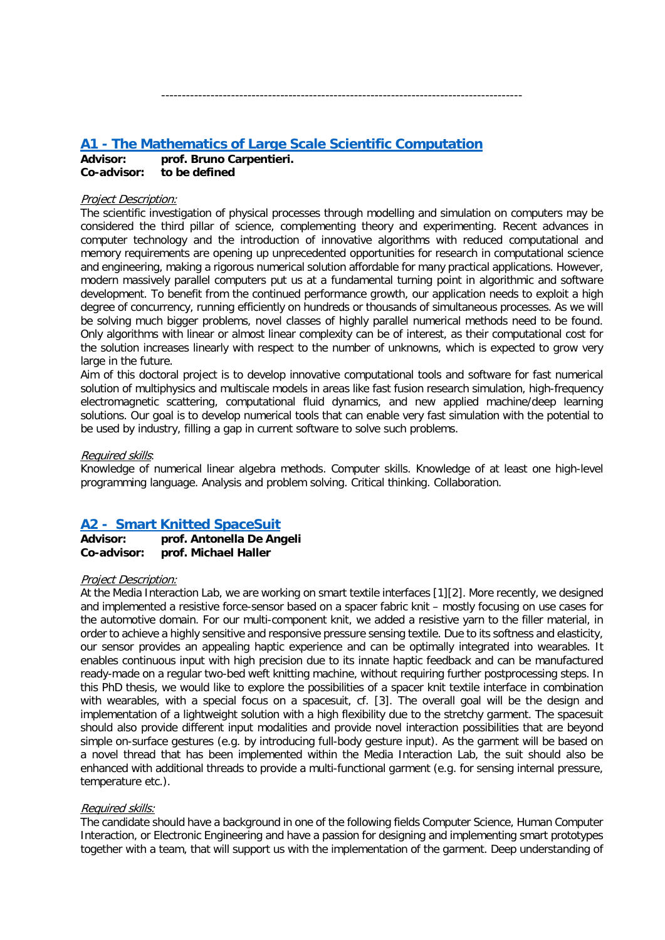# <span id="page-2-0"></span>**A1 - [The Mathematics of Large Scale Scientific Computation](#page-0-0)**

**Advisor: prof. Bruno Carpentieri. Co-advisor: to be defined**

### Project Description:

The scientific investigation of physical processes through modelling and simulation on computers may be considered the third pillar of science, complementing theory and experimenting. Recent advances in computer technology and the introduction of innovative algorithms with reduced computational and memory requirements are opening up unprecedented opportunities for research in computational science and engineering, making a rigorous numerical solution affordable for many practical applications. However, modern massively parallel computers put us at a fundamental turning point in algorithmic and software development. To benefit from the continued performance growth, our application needs to exploit a high degree of concurrency, running efficiently on hundreds or thousands of simultaneous processes. As we will be solving much bigger problems, novel classes of highly parallel numerical methods need to be found. Only algorithms with linear or almost linear complexity can be of interest, as their computational cost for the solution increases linearly with respect to the number of unknowns, which is expected to grow very large in the future.

----------------------------------------------------------------------------------------

Aim of this doctoral project is to develop innovative computational tools and software for fast numerical solution of multiphysics and multiscale models in areas like fast fusion research simulation, high-frequency electromagnetic scattering, computational fluid dynamics, and new applied machine/deep learning solutions. Our goal is to develop numerical tools that can enable very fast simulation with the potential to be used by industry, filling a gap in current software to solve such problems.

### Required skills:

Knowledge of numerical linear algebra methods. Computer skills. Knowledge of at least one high-level programming language. Analysis and problem solving. Critical thinking. Collaboration.

# <span id="page-2-1"></span>**[A2 - Smart Knitted SpaceSuit](#page-0-0)**

**Advisor: prof. Antonella De Angeli Co-advisor: prof. Michael Haller** 

### Project Description:

At the Media Interaction Lab, we are working on smart textile interfaces [\[1\]](#page-3-2)[\[2\].](#page-3-3) More recently, we designed and implemented a resistive force-sensor based on a spacer fabric knit – mostly focusing on use cases for the automotive domain. For our multi-component knit, we added a resistive yarn to the filler material, in order to achieve a highly sensitive and responsive pressure sensing textile. Due to its softness and elasticity, our sensor provides an appealing haptic experience and can be optimally integrated into wearables. It enables continuous input with high precision due to its innate haptic feedback and can be manufactured ready-made on a regular two-bed weft knitting machine, without requiring further postprocessing steps. In this PhD thesis, we would like to explore the possibilities of a spacer knit textile interface in combination with wearables, with a special focus on a spacesuit, cf. [\[3\].](#page-3-4) The overall goal will be the design and implementation of a lightweight solution with a high flexibility due to the stretchy garment. The spacesuit should also provide different input modalities and provide novel interaction possibilities that are beyond simple on-surface gestures (e.g. by introducing full-body gesture input). As the garment will be based on a novel thread that has been implemented within the Media Interaction Lab, the suit should also be enhanced with additional threads to provide a multi-functional garment (e.g. for sensing internal pressure, temperature etc.).

### Required skills:

The candidate should have a background in one of the following fields Computer Science, Human Computer Interaction, or Electronic Engineering and have a passion for designing and implementing smart prototypes together with a team, that will support us with the implementation of the garment. Deep understanding of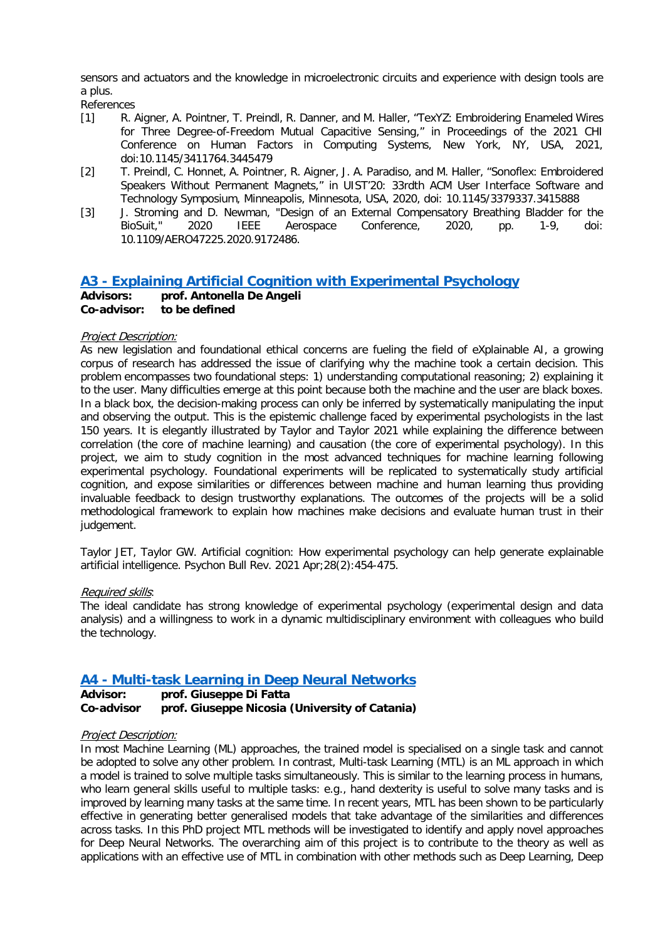sensors and actuators and the knowledge in microelectronic circuits and experience with design tools are a plus.

References

- <span id="page-3-2"></span>[1] R. Aigner, A. Pointner, T. Preindl, R. Danner, and M. Haller, "TexYZ: Embroidering Enameled Wires for Three Degree-of-Freedom Mutual Capacitive Sensing," in Proceedings of the 2021 CHI Conference on Human Factors in Computing Systems, New York, NY, USA, 2021, doi:10.1145/3411764.3445479
- <span id="page-3-3"></span>[2] T. Preindl, C. Honnet, A. Pointner, R. Aigner, J. A. Paradiso, and M. Haller, "Sonoflex: Embroidered Speakers Without Permanent Magnets," in UIST'20: 33rdth ACM User Interface Software and Technology Symposium, Minneapolis, Minnesota, USA, 2020, doi: 10.1145/3379337.3415888
- <span id="page-3-4"></span>[3] J. Stroming and D. Newman, "Design of an External Compensatory Breathing Bladder for the<br>BioSuit," 2020 IEEE Aerospace Conference, 2020, pp. 1-9, doi: BioSuit," 2020 IEEE Aerospace Conference, 2020, pp. 1-9, doi: 10.1109/AERO47225.2020.9172486.

# <span id="page-3-0"></span>**A3 - [Explaining Artificial Cognition with Experimental Psychology](#page-0-0)**

**Advisors: prof. Antonella De Angeli Co-advisor: to be defined**

### Project Description:

As new legislation and foundational ethical concerns are fueling the field of eXplainable AI, a growing corpus of research has addressed the issue of clarifying why the machine took a certain decision. This problem encompasses two foundational steps: 1) understanding computational reasoning; 2) explaining it to the user. Many difficulties emerge at this point because both the machine and the user are black boxes. In a black box, the decision-making process can only be inferred by systematically manipulating the input and observing the output. This is the epistemic challenge faced by experimental psychologists in the last 150 years. It is elegantly illustrated by Taylor and Taylor 2021 while explaining the difference between correlation (the core of machine learning) and causation (the core of experimental psychology). In this project, we aim to study cognition in the most advanced techniques for machine learning following experimental psychology. Foundational experiments will be replicated to systematically study artificial cognition, and expose similarities or differences between machine and human learning thus providing invaluable feedback to design trustworthy explanations. The outcomes of the projects will be a solid methodological framework to explain how machines make decisions and evaluate human trust in their judgement.

Taylor JET, Taylor GW. Artificial cognition: How experimental psychology can help generate explainable artificial intelligence. Psychon Bull Rev. 2021 Apr;28(2):454-475.

### Required skills:

The ideal candidate has strong knowledge of experimental psychology (experimental design and data analysis) and a willingness to work in a dynamic multidisciplinary environment with colleagues who build the technology.

# <span id="page-3-1"></span>**A4 - [Multi-task Learning in Deep Neural Networks](#page-0-0)**

### **Advisor: prof. Giuseppe Di Fatta Co-advisor prof. Giuseppe Nicosia (University of Catania)**

### Project Description:

In most Machine Learning (ML) approaches, the trained model is specialised on a single task and cannot be adopted to solve any other problem. In contrast, Multi-task Learning (MTL) is an ML approach in which a model is trained to solve multiple tasks simultaneously. This is similar to the learning process in humans, who learn general skills useful to multiple tasks: e.g., hand dexterity is useful to solve many tasks and is improved by learning many tasks at the same time. In recent years, MTL has been shown to be particularly effective in generating better generalised models that take advantage of the similarities and differences across tasks. In this PhD project MTL methods will be investigated to identify and apply novel approaches for Deep Neural Networks. The overarching aim of this project is to contribute to the theory as well as applications with an effective use of MTL in combination with other methods such as Deep Learning, Deep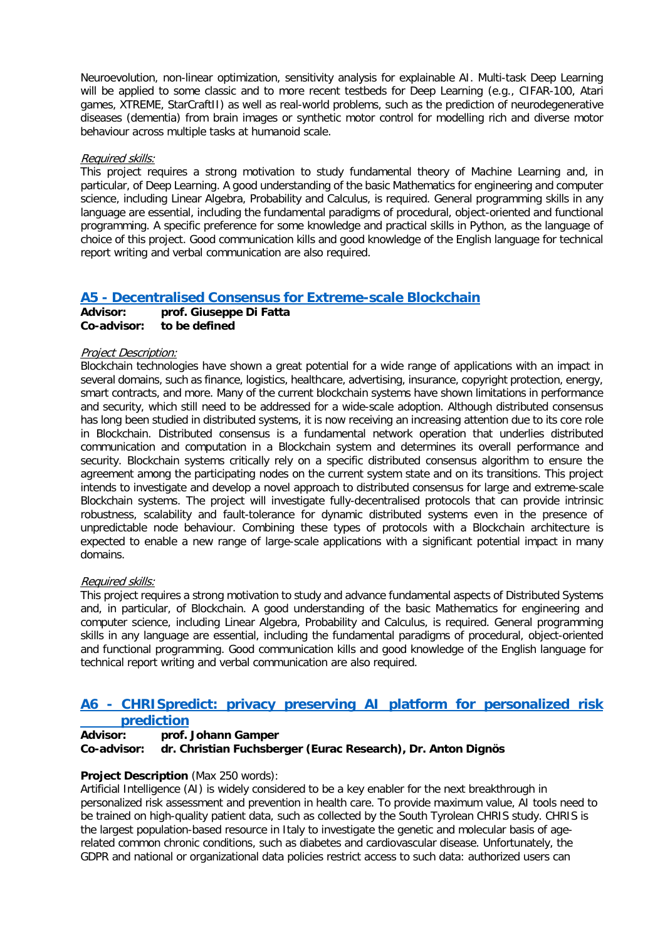Neuroevolution, non-linear optimization, sensitivity analysis for explainable AI. Multi-task Deep Learning will be applied to some classic and to more recent testbeds for Deep Learning (e.g., CIFAR-100, Atari games, XTREME, StarCraftII) as well as real-world problems, such as the prediction of neurodegenerative diseases (dementia) from brain images or synthetic motor control for modelling rich and diverse motor behaviour across multiple tasks at humanoid scale.

### Required skills:

This project requires a strong motivation to study fundamental theory of Machine Learning and, in particular, of Deep Learning. A good understanding of the basic Mathematics for engineering and computer science, including Linear Algebra, Probability and Calculus, is required. General programming skills in any language are essential, including the fundamental paradigms of procedural, object-oriented and functional programming. A specific preference for some knowledge and practical skills in Python, as the language of choice of this project. Good communication kills and good knowledge of the English language for technical report writing and verbal communication are also required.

# <span id="page-4-0"></span>**A5 - [Decentralised Consensus for Extreme-scale Blockchain](#page-0-0) Advisor: prof. Giuseppe Di Fatta**

**Co-advisor: to be defined**

### Project Description:

Blockchain technologies have shown a great potential for a wide range of applications with an impact in several domains, such as finance, logistics, healthcare, advertising, insurance, copyright protection, energy, smart contracts, and more. Many of the current blockchain systems have shown limitations in performance and security, which still need to be addressed for a wide-scale adoption. Although distributed consensus has long been studied in distributed systems, it is now receiving an increasing attention due to its core role in Blockchain. Distributed consensus is a fundamental network operation that underlies distributed communication and computation in a Blockchain system and determines its overall performance and security. Blockchain systems critically rely on a specific distributed consensus algorithm to ensure the agreement among the participating nodes on the current system state and on its transitions. This project intends to investigate and develop a novel approach to distributed consensus for large and extreme-scale Blockchain systems. The project will investigate fully-decentralised protocols that can provide intrinsic robustness, scalability and fault-tolerance for dynamic distributed systems even in the presence of unpredictable node behaviour. Combining these types of protocols with a Blockchain architecture is expected to enable a new range of large-scale applications with a significant potential impact in many domains.

### Required skills:

This project requires a strong motivation to study and advance fundamental aspects of Distributed Systems and, in particular, of Blockchain. A good understanding of the basic Mathematics for engineering and computer science, including Linear Algebra, Probability and Calculus, is required. General programming skills in any language are essential, including the fundamental paradigms of procedural, object-oriented and functional programming. Good communication kills and good knowledge of the English language for technical report writing and verbal communication are also required.

### <span id="page-4-1"></span>**A6 - [CHRISpredict: privacy preserving AI platform for personalized risk](#page-0-0)  [prediction](#page-0-0)**

# **Advisor: prof. Johann Gamper Co-advisor: dr. Christian Fuchsberger (Eurac Research), Dr. Anton Dignös**

### **Project Description** (Max 250 words):

Artificial Intelligence (AI) is widely considered to be a key enabler for the next breakthrough in personalized risk assessment and prevention in health care. To provide maximum value, AI tools need to be trained on high-quality patient data, such as collected by the South Tyrolean CHRIS study. CHRIS is the largest population-based resource in Italy to investigate the genetic and molecular basis of agerelated common chronic conditions, such as diabetes and cardiovascular disease. Unfortunately, the GDPR and national or organizational data policies restrict access to such data: authorized users can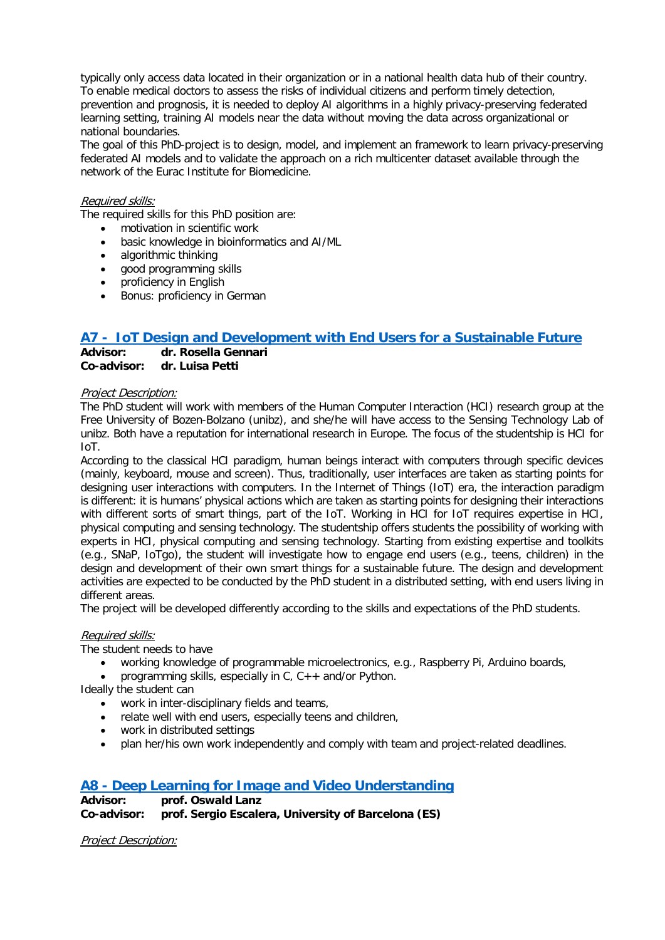typically only access data located in their organization or in a national health data hub of their country. To enable medical doctors to assess the risks of individual citizens and perform timely detection, prevention and prognosis, it is needed to deploy AI algorithms in a highly privacy-preserving federated learning setting, training AI models near the data without moving the data across organizational or national boundaries.

The goal of this PhD-project is to design, model, and implement an framework to learn privacy-preserving federated AI models and to validate the approach on a rich multicenter dataset available through the network of the Eurac Institute for Biomedicine.

### Required skills:

The required skills for this PhD position are:

- motivation in scientific work<br>• basic knowledge in bioinform
- basic knowledge in bioinformatics and AI/ML
- algorithmic thinking
- good programming skills<br>• proficiency in English
- proficiency in English
- Bonus: proficiency in German

# <span id="page-5-0"></span>**[A7 - IoT Design and Development with End Users for a Sustainable Future](#page-0-0)**<br>Advisor: <br>Advisor: Ar Rosella Gennari

**Advisor: dr. Rosella Gennari Co-advisor: dr. Luisa Petti**

### Project Description:

The PhD student will work with members of the Human Computer Interaction (HCI) research group at the Free University of Bozen-Bolzano (unibz), and she/he will have access to the Sensing Technology Lab of unibz. Both have a reputation for international research in Europe. The focus of the studentship is HCI for IoT.

According to the classical HCI paradigm, human beings interact with computers through specific devices (mainly, keyboard, mouse and screen). Thus, traditionally, user interfaces are taken as starting points for designing user interactions with computers. In the Internet of Things (IoT) era, the interaction paradigm is different: it is humans' physical actions which are taken as starting points for designing their interactions with different sorts of smart things, part of the IoT. Working in HCI for IoT requires expertise in HCI, physical computing and sensing technology. The studentship offers students the possibility of working with experts in HCI, physical computing and sensing technology. Starting from existing expertise and toolkits (e.g., SNaP, IoTgo), the student will investigate how to engage end users (e.g., teens, children) in the design and development of their own smart things for a sustainable future. The design and development activities are expected to be conducted by the PhD student in a distributed setting, with end users living in different areas.

The project will be developed differently according to the skills and expectations of the PhD students.

### Required skills:

The student needs to have

- working knowledge of programmable microelectronics, e.g., Raspberry Pi, Arduino boards,
- programming skills, especially in  $C$ ,  $C++$  and/or Python.

Ideally the student can

- work in inter-disciplinary fields and teams,
- relate well with end users, especially teens and children,
- work in distributed settings
- plan her/his own work independently and comply with team and project-related deadlines.

# <span id="page-5-1"></span>**A8 - [Deep Learning for Image and Video Understanding](#page-0-0)**

**Advisor: prof. Oswald Lanz prof. Sergio Escalera, University of Barcelona (ES)** 

Project Description: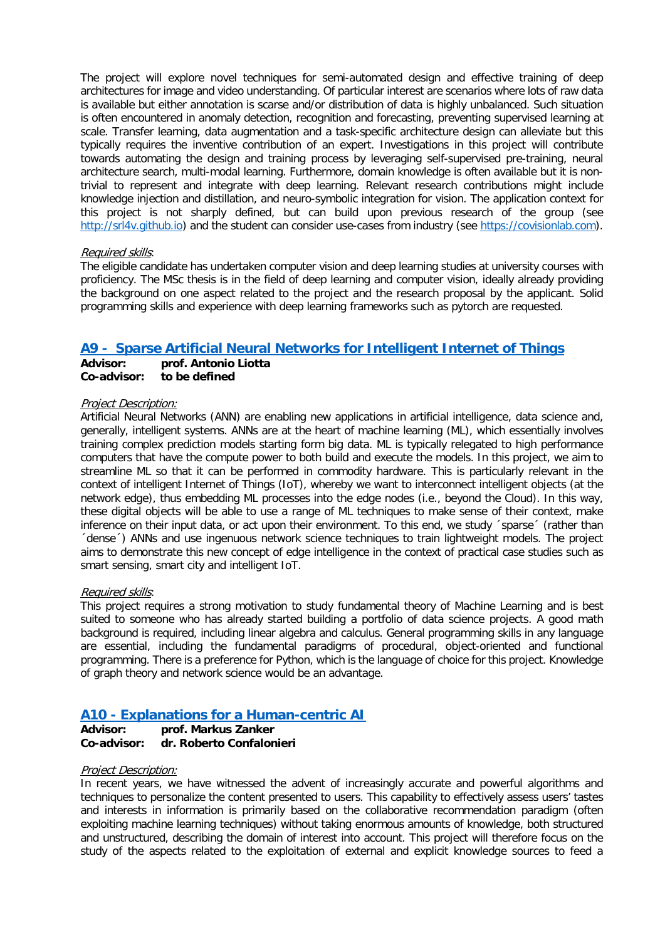The project will explore novel techniques for semi-automated design and effective training of deep architectures for image and video understanding. Of particular interest are scenarios where lots of raw data is available but either annotation is scarse and/or distribution of data is highly unbalanced. Such situation is often encountered in anomaly detection, recognition and forecasting, preventing supervised learning at scale. Transfer learning, data augmentation and a task-specific architecture design can alleviate but this typically requires the inventive contribution of an expert. Investigations in this project will contribute towards automating the design and training process by leveraging self-supervised pre-training, neural architecture search, multi-modal learning. Furthermore, domain knowledge is often available but it is nontrivial to represent and integrate with deep learning. Relevant research contributions might include knowledge injection and distillation, and neuro-symbolic integration for vision. The application context for this project is not sharply defined, but can build upon previous research of the group (see [http://srl4v.github.io\)](http://srl4v.github.io/) and the student can consider use-cases from industry (see [https://covisionlab.com\)](https://covisionlab.com/).

### Required skills:

The eligible candidate has undertaken computer vision and deep learning studies at university courses with proficiency. The MSc thesis is in the field of deep learning and computer vision, ideally already providing the background on one aspect related to the project and the research proposal by the applicant. Solid programming skills and experience with deep learning frameworks such as pytorch are requested.

# <span id="page-6-0"></span>**[A9 - Sparse Artificial Neural Networks for Intelligent Internet of Things](#page-0-0)**

### **Advisor: prof. Antonio Liotta Co-advisor: to be defined**

### Project Description:

Artificial Neural Networks (ANN) are enabling new applications in artificial intelligence, data science and, generally, intelligent systems. ANNs are at the heart of machine learning (ML), which essentially involves training complex prediction models starting form big data. ML is typically relegated to high performance computers that have the compute power to both build and execute the models. In this project, we aim to streamline ML so that it can be performed in commodity hardware. This is particularly relevant in the context of intelligent Internet of Things (IoT), whereby we want to interconnect intelligent objects (at the network edge), thus embedding ML processes into the edge nodes (i.e., beyond the Cloud). In this way, these digital objects will be able to use a range of ML techniques to make sense of their context, make inference on their input data, or act upon their environment. To this end, we study ´sparse´ (rather than ´dense´) ANNs and use ingenuous network science techniques to train lightweight models. The project aims to demonstrate this new concept of edge intelligence in the context of practical case studies such as smart sensing, smart city and intelligent IoT.

### Required skills:

This project requires a strong motivation to study fundamental theory of Machine Learning and is best suited to someone who has already started building a portfolio of data science projects. A good math background is required, including linear algebra and calculus. General programming skills in any language are essential, including the fundamental paradigms of procedural, object-oriented and functional programming. There is a preference for Python, which is the language of choice for this project. Knowledge of graph theory and network science would be an advantage.

# <span id="page-6-1"></span>**A10 - [Explanations for a Human-centric AI](#page-0-0)**

**Advisor: prof. Markus Zanker Co-advisor: dr. Roberto Confalonieri**

### Project Description:

In recent years, we have witnessed the advent of increasingly accurate and powerful algorithms and techniques to personalize the content presented to users. This capability to effectively assess users' tastes and interests in information is primarily based on the collaborative recommendation paradigm (often exploiting machine learning techniques) without taking enormous amounts of knowledge, both structured and unstructured, describing the domain of interest into account. This project will therefore focus on the study of the aspects related to the exploitation of external and explicit knowledge sources to feed a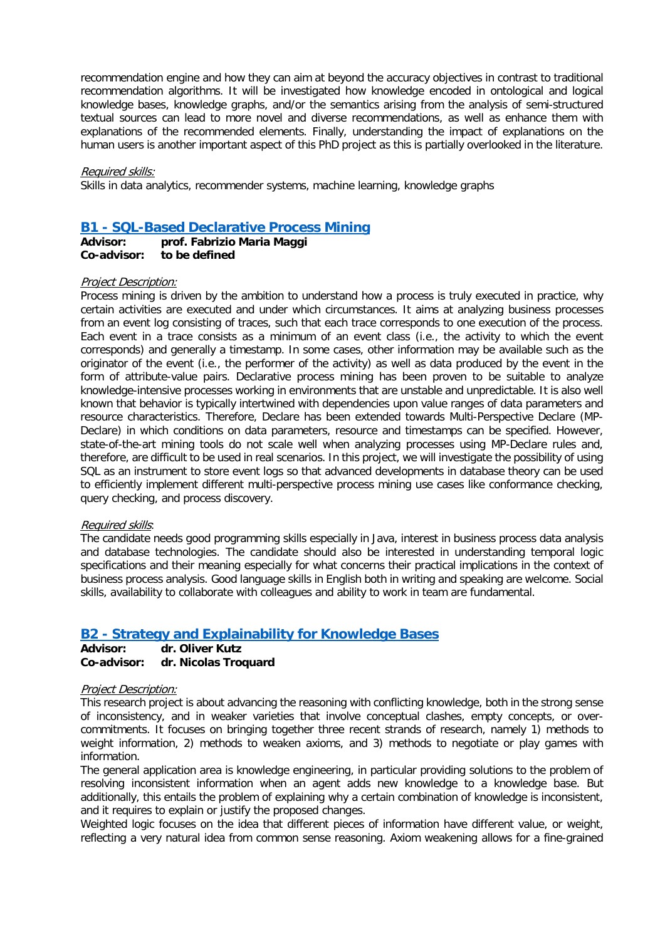recommendation engine and how they can aim at beyond the accuracy objectives in contrast to traditional recommendation algorithms. It will be investigated how knowledge encoded in ontological and logical knowledge bases, knowledge graphs, and/or the semantics arising from the analysis of semi-structured textual sources can lead to more novel and diverse recommendations, as well as enhance them with explanations of the recommended elements. Finally, understanding the impact of explanations on the human users is another important aspect of this PhD project as this is partially overlooked in the literature.

#### Required skills:

Skills in data analytics, recommender systems, machine learning, knowledge graphs

## <span id="page-7-0"></span>**B1 - [SQL-Based Declarative Process Mining](#page-0-0)**

**Advisor: prof. Fabrizio Maria Maggi** to be defined

#### Project Description:

Process mining is driven by the ambition to understand how a process is truly executed in practice, why certain activities are executed and under which circumstances. It aims at analyzing business processes from an event log consisting of traces, such that each trace corresponds to one execution of the process. Each event in a trace consists as a minimum of an event class (i.e., the activity to which the event corresponds) and generally a timestamp. In some cases, other information may be available such as the originator of the event (i.e., the performer of the activity) as well as data produced by the event in the form of attribute-value pairs. Declarative process mining has been proven to be suitable to analyze knowledge-intensive processes working in environments that are unstable and unpredictable. It is also well known that behavior is typically intertwined with dependencies upon value ranges of data parameters and resource characteristics. Therefore, Declare has been extended towards Multi-Perspective Declare (MP-Declare) in which conditions on data parameters, resource and timestamps can be specified. However, state-of-the-art mining tools do not scale well when analyzing processes using MP-Declare rules and, therefore, are difficult to be used in real scenarios. In this project, we will investigate the possibility of using SQL as an instrument to store event logs so that advanced developments in database theory can be used to efficiently implement different multi-perspective process mining use cases like conformance checking, query checking, and process discovery.

#### Required skills:

The candidate needs good programming skills especially in Java, interest in business process data analysis and database technologies. The candidate should also be interested in understanding temporal logic specifications and their meaning especially for what concerns their practical implications in the context of business process analysis. Good language skills in English both in writing and speaking are welcome. Social skills, availability to collaborate with colleagues and ability to work in team are fundamental.

### <span id="page-7-1"></span>**B2 - [Strategy and Explainability for Knowledge Bases](#page-0-0)**

**Advisor: dr. Oliver Kutz Co-advisor: dr. Nicolas Troquard**

### Project Description:

This research project is about advancing the reasoning with conflicting knowledge, both in the strong sense of inconsistency, and in weaker varieties that involve conceptual clashes, empty concepts, or overcommitments. It focuses on bringing together three recent strands of research, namely 1) methods to weight information, 2) methods to weaken axioms, and 3) methods to negotiate or play games with information.

The general application area is knowledge engineering, in particular providing solutions to the problem of resolving inconsistent information when an agent adds new knowledge to a knowledge base. But additionally, this entails the problem of explaining why a certain combination of knowledge is inconsistent, and it requires to explain or justify the proposed changes.

Weighted logic focuses on the idea that different pieces of information have different value, or weight, reflecting a very natural idea from common sense reasoning. Axiom weakening allows for a fine-grained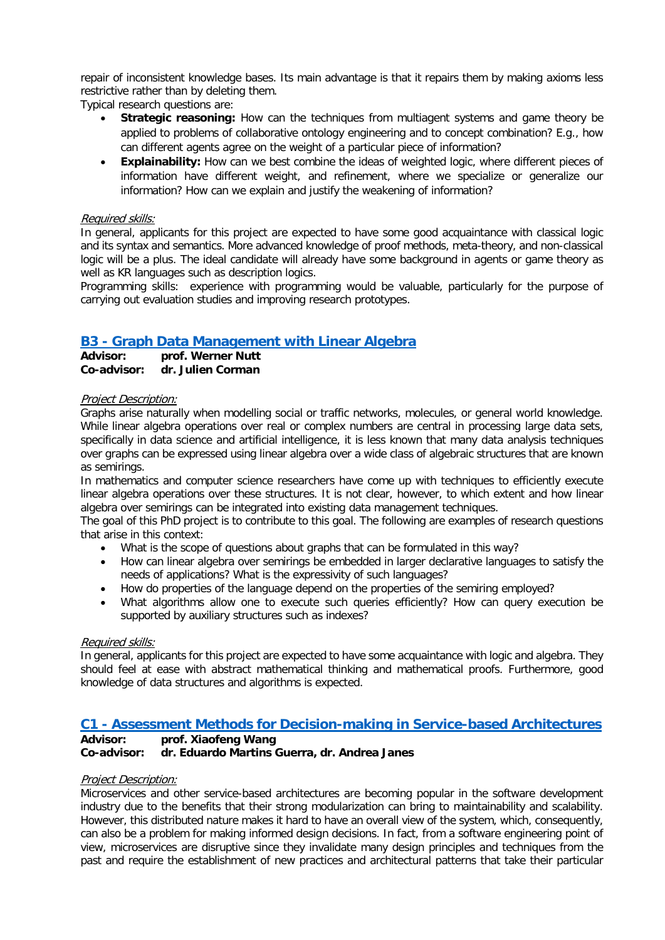repair of inconsistent knowledge bases. Its main advantage is that it repairs them by making axioms less restrictive rather than by deleting them.

Typical research questions are:

- **Strategic reasoning:** How can the techniques from multiagent systems and game theory be applied to problems of collaborative ontology engineering and to concept combination? E.g., how can different agents agree on the weight of a particular piece of information?
- **Explainability:** How can we best combine the ideas of weighted logic, where different pieces of information have different weight, and refinement, where we specialize or generalize our information? How can we explain and justify the weakening of information?

### Required skills:

In general, applicants for this project are expected to have some good acquaintance with classical logic and its syntax and semantics. More advanced knowledge of proof methods, meta-theory, and non-classical logic will be a plus. The ideal candidate will already have some background in agents or game theory as well as KR languages such as description logics.

Programming skills: experience with programming would be valuable, particularly for the purpose of carrying out evaluation studies and improving research prototypes.

# <span id="page-8-0"></span>**B3 - [Graph Data Management with Linear Algebra](#page-0-0)**

| Advisor:    | prof. Werner Nutt |
|-------------|-------------------|
| Co-advisor: | dr. Julien Corman |

### Project Description:

Graphs arise naturally when modelling social or traffic networks, molecules, or general world knowledge. While linear algebra operations over real or complex numbers are central in processing large data sets, specifically in data science and artificial intelligence, it is less known that many data analysis techniques over graphs can be expressed using linear algebra over a wide class of algebraic structures that are known as semirings.

In mathematics and computer science researchers have come up with techniques to efficiently execute linear algebra operations over these structures. It is not clear, however, to which extent and how linear algebra over semirings can be integrated into existing data management techniques.

The goal of this PhD project is to contribute to this goal. The following are examples of research questions that arise in this context:

- What is the scope of questions about graphs that can be formulated in this way?
- How can linear algebra over semirings be embedded in larger declarative languages to satisfy the needs of applications? What is the expressivity of such languages?
- How do properties of the language depend on the properties of the semiring employed?
- What algorithms allow one to execute such queries efficiently? How can query execution be supported by auxiliary structures such as indexes?

### Required skills:

In general, applicants for this project are expected to have some acquaintance with logic and algebra. They should feel at ease with abstract mathematical thinking and mathematical proofs. Furthermore, good knowledge of data structures and algorithms is expected.

# <span id="page-8-1"></span>**C1 - [Assessment Methods for Decision-making in Service-based Architectures](#page-0-0)**

# **Advisor: prof. Xiaofeng Wang**

### dr. Eduardo Martins Guerra, dr. Andrea Janes

### Project Description:

Microservices and other service-based architectures are becoming popular in the software development industry due to the benefits that their strong modularization can bring to maintainability and scalability. However, this distributed nature makes it hard to have an overall view of the system, which, consequently, can also be a problem for making informed design decisions. In fact, from a software engineering point of view, microservices are disruptive since they invalidate many design principles and techniques from the past and require the establishment of new practices and architectural patterns that take their particular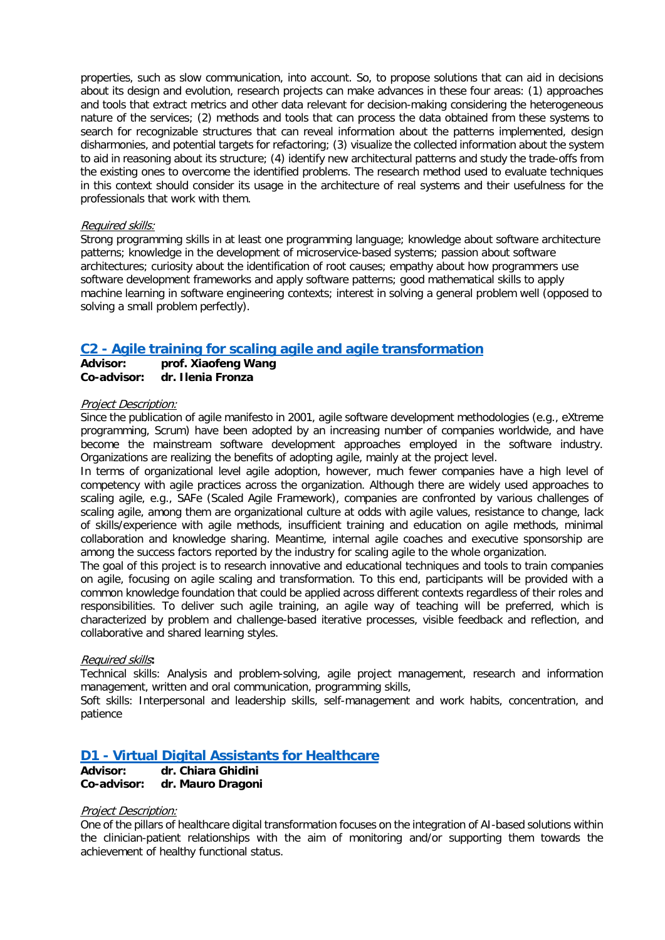properties, such as slow communication, into account. So, to propose solutions that can aid in decisions about its design and evolution, research projects can make advances in these four areas: (1) approaches and tools that extract metrics and other data relevant for decision-making considering the heterogeneous nature of the services; (2) methods and tools that can process the data obtained from these systems to search for recognizable structures that can reveal information about the patterns implemented, design disharmonies, and potential targets for refactoring; (3) visualize the collected information about the system to aid in reasoning about its structure; (4) identify new architectural patterns and study the trade-offs from the existing ones to overcome the identified problems. The research method used to evaluate techniques in this context should consider its usage in the architecture of real systems and their usefulness for the professionals that work with them.

### Required skills:

Strong programming skills in at least one programming language; knowledge about software architecture patterns; knowledge in the development of microservice-based systems; passion about software architectures; curiosity about the identification of root causes; empathy about how programmers use software development frameworks and apply software patterns; good mathematical skills to apply machine learning in software engineering contexts; interest in solving a general problem well (opposed to solving a small problem perfectly).

# <span id="page-9-0"></span>**C2 - [Agile training for scaling agile and agile transformation](#page-0-0)**

**Advisor: prof. Xiaofeng Wang Co-advisor: dr. Ilenia Fronza**

### Project Description:

Since the publication of agile manifesto in 2001, agile software development methodologies (e.g., eXtreme programming, Scrum) have been adopted by an increasing number of companies worldwide, and have become the mainstream software development approaches employed in the software industry. Organizations are realizing the benefits of adopting agile, mainly at the project level.

In terms of organizational level agile adoption, however, much fewer companies have a high level of competency with agile practices across the organization. Although there are widely used approaches to scaling agile, e.g., SAFe (Scaled Agile Framework), companies are confronted by various challenges of scaling agile, among them are organizational culture at odds with agile values, resistance to change, lack of skills/experience with agile methods, insufficient training and education on agile methods, minimal collaboration and knowledge sharing. Meantime, internal agile coaches and executive sponsorship are among the success factors reported by the industry for scaling agile to the whole organization.

The goal of this project is to research innovative and educational techniques and tools to train companies on agile, focusing on agile scaling and transformation. To this end, participants will be provided with a common knowledge foundation that could be applied across different contexts regardless of their roles and responsibilities. To deliver such agile training, an agile way of teaching will be preferred, which is characterized by problem and challenge-based iterative processes, visible feedback and reflection, and collaborative and shared learning styles.

### Required skills**:**

Technical skills: Analysis and problem-solving, agile project management, research and information management, written and oral communication, programming skills,

Soft skills: Interpersonal and leadership skills, self-management and work habits, concentration, and patience

# <span id="page-9-1"></span>**D1 - [Virtual Digital Assistants for Healthcare](#page-0-0)**

**Advisor: dr. Chiara Ghidini Co-advisor: dr. Mauro Dragoni** 

### Project Description:

One of the pillars of healthcare digital transformation focuses on the integration of AI-based solutions within the clinician-patient relationships with the aim of monitoring and/or supporting them towards the achievement of healthy functional status.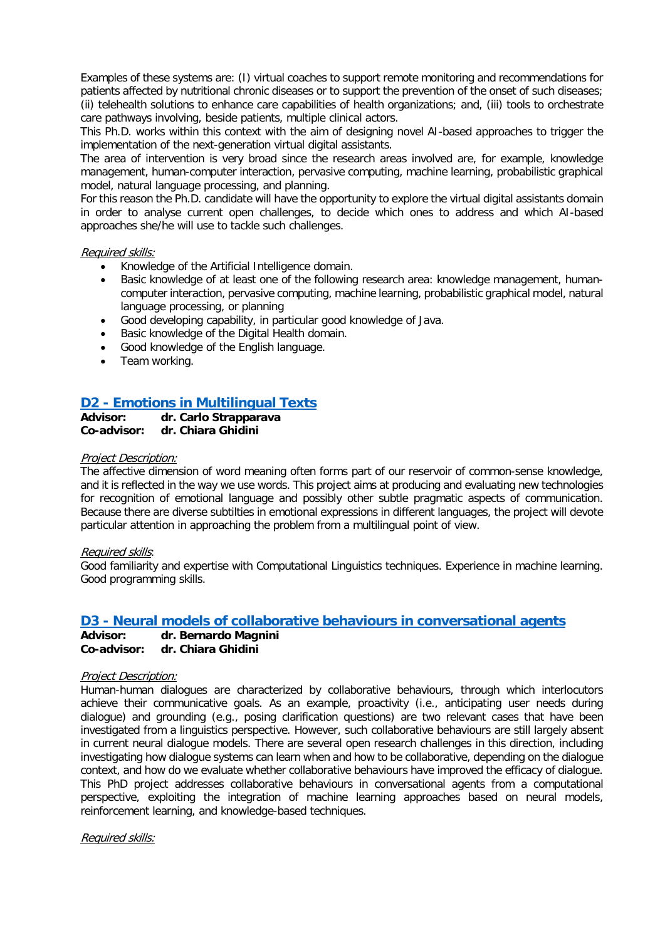Examples of these systems are: (I) virtual coaches to support remote monitoring and recommendations for patients affected by nutritional chronic diseases or to support the prevention of the onset of such diseases; (ii) telehealth solutions to enhance care capabilities of health organizations; and, (iii) tools to orchestrate care pathways involving, beside patients, multiple clinical actors.

This Ph.D. works within this context with the aim of designing novel AI-based approaches to trigger the implementation of the next-generation virtual digital assistants.

The area of intervention is very broad since the research areas involved are, for example, knowledge management, human-computer interaction, pervasive computing, machine learning, probabilistic graphical model, natural language processing, and planning.

For this reason the Ph.D. candidate will have the opportunity to explore the virtual digital assistants domain in order to analyse current open challenges, to decide which ones to address and which AI-based approaches she/he will use to tackle such challenges.

### Required skills:

- Knowledge of the Artificial Intelligence domain.
- Basic knowledge of at least one of the following research area: knowledge management, humancomputer interaction, pervasive computing, machine learning, probabilistic graphical model, natural language processing, or planning
- Good developing capability, in particular good knowledge of Java.
- Basic knowledge of the Digital Health domain.
- Good knowledge of the English language.
- Team working.

# <span id="page-10-0"></span>**D2 - [Emotions in Multilingual Texts](#page-0-0)**

**Advisor: dr. Carlo Strapparava Co-advisor: dr. Chiara Ghidini**

### Project Description:

The affective dimension of word meaning often forms part of our reservoir of common-sense knowledge, and it is reflected in the way we use words. This project aims at producing and evaluating new technologies for recognition of emotional language and possibly other subtle pragmatic aspects of communication. Because there are diverse subtilties in emotional expressions in different languages, the project will devote particular attention in approaching the problem from a multilingual point of view.

### Required skills:

Good familiarity and expertise with Computational Linguistics techniques. Experience in machine learning. Good programming skills.

# <span id="page-10-1"></span>**D3 - [Neural models of collaborative behaviours](#page-0-0) in conversational agents**

**Advisor: dr. Bernardo Magnini Co-advisor: dr. Chiara Ghidini**

### Project Description:

Human-human dialogues are characterized by collaborative behaviours, through which interlocutors achieve their communicative goals. As an example, proactivity (i.e., anticipating user needs during dialogue) and grounding (e.g., posing clarification questions) are two relevant cases that have been investigated from a linguistics perspective. However, such collaborative behaviours are still largely absent in current neural dialogue models. There are several open research challenges in this direction, including investigating how dialogue systems can learn when and how to be collaborative, depending on the dialogue context, and how do we evaluate whether collaborative behaviours have improved the efficacy of dialogue. This PhD project addresses collaborative behaviours in conversational agents from a computational perspective, exploiting the integration of machine learning approaches based on neural models, reinforcement learning, and knowledge-based techniques.

Required skills: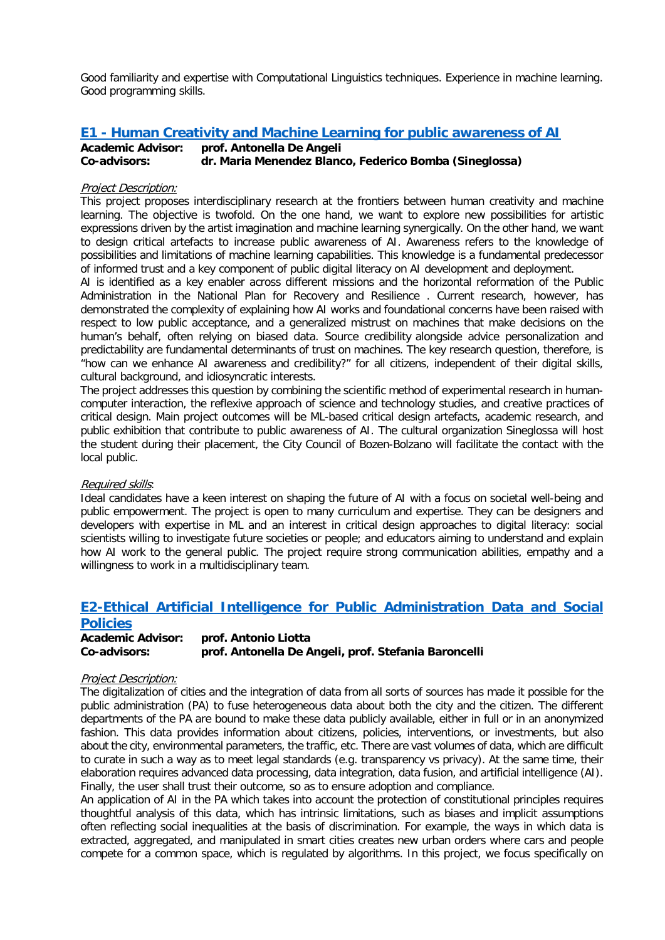Good familiarity and expertise with Computational Linguistics techniques. Experience in machine learning. Good programming skills.

# <span id="page-11-0"></span>**E1 - [Human Creativity and Machine Learning for public awareness of AI](#page-0-0)**

# **Academic Advisor: prof. Antonella De Angeli Co-advisors: dr. Maria Menendez Blanco, Federico Bomba (Sineglossa)**

### Project Description:

This project proposes interdisciplinary research at the frontiers between human creativity and machine learning. The objective is twofold. On the one hand, we want to explore new possibilities for artistic expressions driven by the artist imagination and machine learning synergically. On the other hand, we want to design critical artefacts to increase public awareness of AI. Awareness refers to the knowledge of possibilities and limitations of machine learning capabilities. This knowledge is a fundamental predecessor of informed trust and a key component of public digital literacy on AI development and deployment.

AI is identified as a key enabler across different missions and the horizontal reformation of the Public Administration in the National Plan for Recovery and Resilience . Current research, however, has demonstrated the complexity of explaining how AI works and foundational concerns have been raised with respect to low public acceptance, and a generalized mistrust on machines that make decisions on the human's behalf, often relying on biased data. Source credibility alongside advice personalization and predictability are fundamental determinants of trust on machines. The key research question, therefore, is "how can we enhance AI awareness and credibility?" for all citizens, independent of their digital skills, cultural background, and idiosyncratic interests.

The project addresses this question by combining the scientific method of experimental research in humancomputer interaction, the reflexive approach of science and technology studies, and creative practices of critical design. Main project outcomes will be ML-based critical design artefacts, academic research, and public exhibition that contribute to public awareness of AI. The cultural organization Sineglossa will host the student during their placement, the City Council of Bozen-Bolzano will facilitate the contact with the local public.

### Required skills:

Ideal candidates have a keen interest on shaping the future of AI with a focus on societal well-being and public empowerment. The project is open to many curriculum and expertise. They can be designers and developers with expertise in ML and an interest in critical design approaches to digital literacy: social scientists willing to investigate future societies or people; and educators aiming to understand and explain how AI work to the general public. The project require strong communication abilities, empathy and a willingness to work in a multidisciplinary team.

# **E2-Ethical Artificial Intelligence for Public Administration Data and Social Policies**

**Academic Advisor: prof. Antonio Liotta Co-advisors: prof. Antonella De Angeli, prof. Stefania Baroncelli**

### Project Description:

The digitalization of cities and the integration of data from all sorts of sources has made it possible for the public administration (PA) to fuse heterogeneous data about both the city and the citizen. The different departments of the PA are bound to make these data publicly available, either in full or in an anonymized fashion. This data provides information about citizens, policies, interventions, or investments, but also about the city, environmental parameters, the traffic, etc. There are vast volumes of data, which are difficult to curate in such a way as to meet legal standards (e.g. transparency vs privacy). At the same time, their elaboration requires advanced data processing, data integration, data fusion, and artificial intelligence (AI). Finally, the user shall trust their outcome, so as to ensure adoption and compliance.

An application of AI in the PA which takes into account the protection of constitutional principles requires thoughtful analysis of this data, which has intrinsic limitations, such as biases and implicit assumptions often reflecting social inequalities at the basis of discrimination. For example, the ways in which data is extracted, aggregated, and manipulated in smart cities creates new urban orders where cars and people compete for a common space, which is regulated by algorithms. In this project, we focus specifically on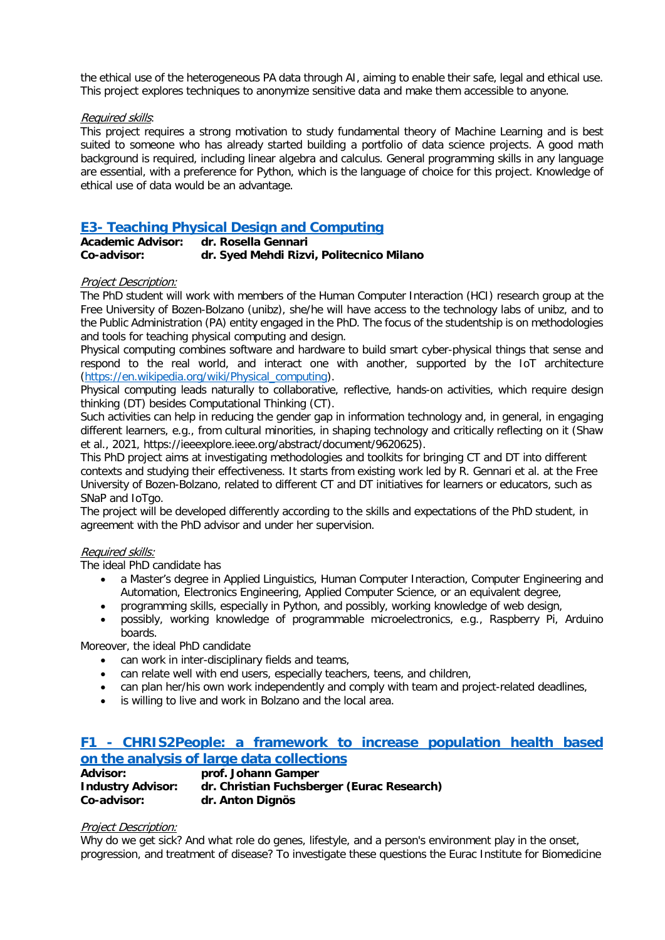the ethical use of the heterogeneous PA data through AI, aiming to enable their safe, legal and ethical use. This project explores techniques to anonymize sensitive data and make them accessible to anyone.

### Required skills:

This project requires a strong motivation to study fundamental theory of Machine Learning and is best suited to someone who has already started building a portfolio of data science projects. A good math background is required, including linear algebra and calculus. General programming skills in any language are essential, with a preference for Python, which is the language of choice for this project. Knowledge of ethical use of data would be an advantage.

# <span id="page-12-1"></span>**E3- [Teaching Physical Design and Computing](#page-0-0)**

| <b>Academic Advisor:</b> | dr. Rosella Gennari                      |
|--------------------------|------------------------------------------|
| Co-advisor:              | dr. Syed Mehdi Rizvi, Politecnico Milano |

### Project Description:

The PhD student will work with members of the Human Computer Interaction (HCI) research group at the Free University of Bozen-Bolzano (unibz), she/he will have access to the technology labs of unibz, and to the Public Administration (PA) entity engaged in the PhD. The focus of the studentship is on methodologies and tools for teaching physical computing and design.

Physical computing combines software and hardware to build smart cyber-physical things that sense and respond to the real world, and interact one with another, supported by the IoT architecture [\(https://en.wikipedia.org/wiki/Physical\\_computing\)](https://en.wikipedia.org/wiki/Physical_computing).

Physical computing leads naturally to collaborative, reflective, hands-on activities, which require design thinking (DT) besides Computational Thinking (CT).

Such activities can help in reducing the gender gap in information technology and, in general, in engaging different learners, e.g., from cultural minorities, in shaping technology and critically reflecting on it (Shaw et al., 2021, https://ieeexplore.ieee.org/abstract/document/9620625).

This PhD project aims at investigating methodologies and toolkits for bringing CT and DT into different contexts and studying their effectiveness. It starts from existing work led by R. Gennari et al. at the Free University of Bozen-Bolzano, related to different CT and DT initiatives for learners or educators, such as SNaP and IoTgo.

The project will be developed differently according to the skills and expectations of the PhD student, in agreement with the PhD advisor and under her supervision.

### Required skills:

The ideal PhD candidate has

- a Master's degree in Applied Linguistics, Human Computer Interaction, Computer Engineering and Automation, Electronics Engineering, Applied Computer Science, or an equivalent degree,
- programming skills, especially in Python, and possibly, working knowledge of web design,
- possibly, working knowledge of programmable microelectronics, e.g., Raspberry Pi, Arduino boards.

Moreover, the ideal PhD candidate

- can work in inter-disciplinary fields and teams,
- can relate well with end users, especially teachers, teens, and children,
- can plan her/his own work independently and comply with team and project-related deadlines,
- is willing to live and work in Bolzano and the local area.

## <span id="page-12-0"></span>**F1 - [CHRIS2People: a framework to increase population health based](#page-0-0)  [on the analysis of large data collections](#page-0-0)**

| <b>Advisor:</b>          | prof. Johann Gamper                        |
|--------------------------|--------------------------------------------|
| <b>Industry Advisor:</b> | dr. Christian Fuchsberger (Eurac Research) |
| Co-advisor:              | dr. Anton Dignös                           |

### Project Description:

Why do we get sick? And what role do genes, lifestyle, and a person's environment play in the onset, progression, and treatment of disease? To investigate these questions the Eurac Institute for Biomedicine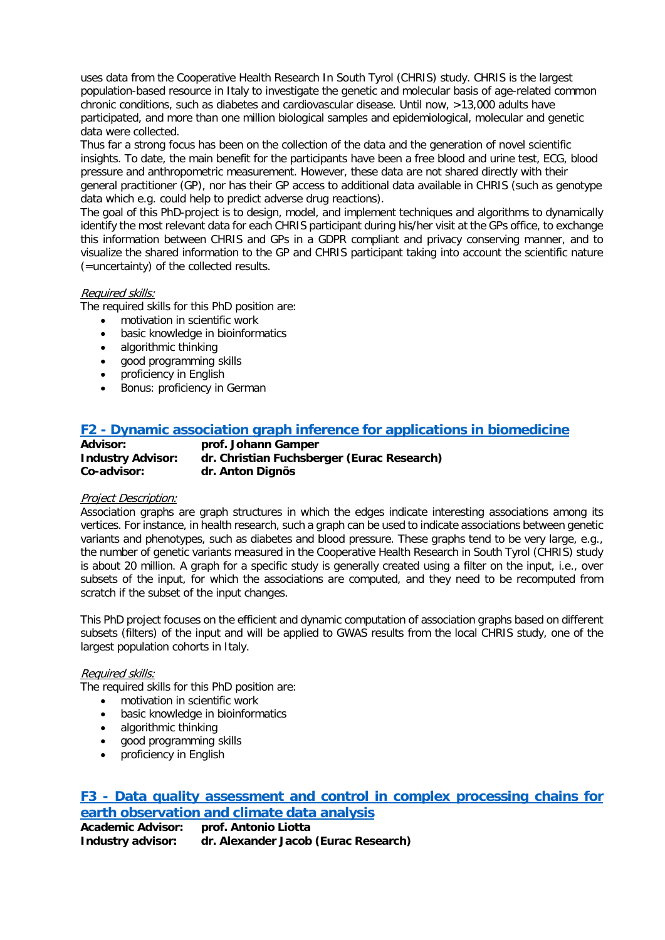uses data from the Cooperative Health Research In South Tyrol (CHRIS) study. CHRIS is the largest population-based resource in Italy to investigate the genetic and molecular basis of age-related common chronic conditions, such as diabetes and cardiovascular disease. Until now, >13,000 adults have participated, and more than one million biological samples and epidemiological, molecular and genetic data were collected.

Thus far a strong focus has been on the collection of the data and the generation of novel scientific insights. To date, the main benefit for the participants have been a free blood and urine test, ECG, blood pressure and anthropometric measurement. However, these data are not shared directly with their general practitioner (GP), nor has their GP access to additional data available in CHRIS (such as genotype data which e.g. could help to predict adverse drug reactions).

The goal of this PhD-project is to design, model, and implement techniques and algorithms to dynamically identify the most relevant data for each CHRIS participant during his/her visit at the GPs office, to exchange this information between CHRIS and GPs in a GDPR compliant and privacy conserving manner, and to visualize the shared information to the GP and CHRIS participant taking into account the scientific nature (=uncertainty) of the collected results.

### Required skills:

The required skills for this PhD position are:

- motivation in scientific work
- basic knowledge in bioinformatics
- algorithmic thinking
- good programming skills
- proficiency in English
- Bonus: proficiency in German

# <span id="page-13-0"></span>**F2 - [Dynamic association graph inference for applications in biomedicine](#page-0-0)**

| <b>Advisor:</b>          | prof. Johann Gamper                        |
|--------------------------|--------------------------------------------|
| <b>Industry Advisor:</b> | dr. Christian Fuchsberger (Eurac Research) |
| Co-advisor:              | dr. Anton Dignös                           |

### Project Description:

Association graphs are graph structures in which the edges indicate interesting associations among its vertices. For instance, in health research, such a graph can be used to indicate associations between genetic variants and phenotypes, such as diabetes and blood pressure. These graphs tend to be very large, e.g., the number of genetic variants measured in the Cooperative Health Research in South Tyrol (CHRIS) study is about 20 million. A graph for a specific study is generally created using a filter on the input, i.e., over subsets of the input, for which the associations are computed, and they need to be recomputed from scratch if the subset of the input changes.

This PhD project focuses on the efficient and dynamic computation of association graphs based on different subsets (filters) of the input and will be applied to GWAS results from the local CHRIS study, one of the largest population cohorts in Italy.

### Required skills:

The required skills for this PhD position are:

- motivation in scientific work
- basic knowledge in bioinformatics
- algorithmic thinking
- good programming skills
- proficiency in English

# <span id="page-13-1"></span>**F3 - [Data quality assessment and control in complex processing chains for](#page-0-0)  [earth observation and climate data analysis](#page-0-0)**

| <b>Academic Advisor:</b> | prof. Antonio Liotta                 |
|--------------------------|--------------------------------------|
| Industry advisor:        | dr. Alexander Jacob (Eurac Research) |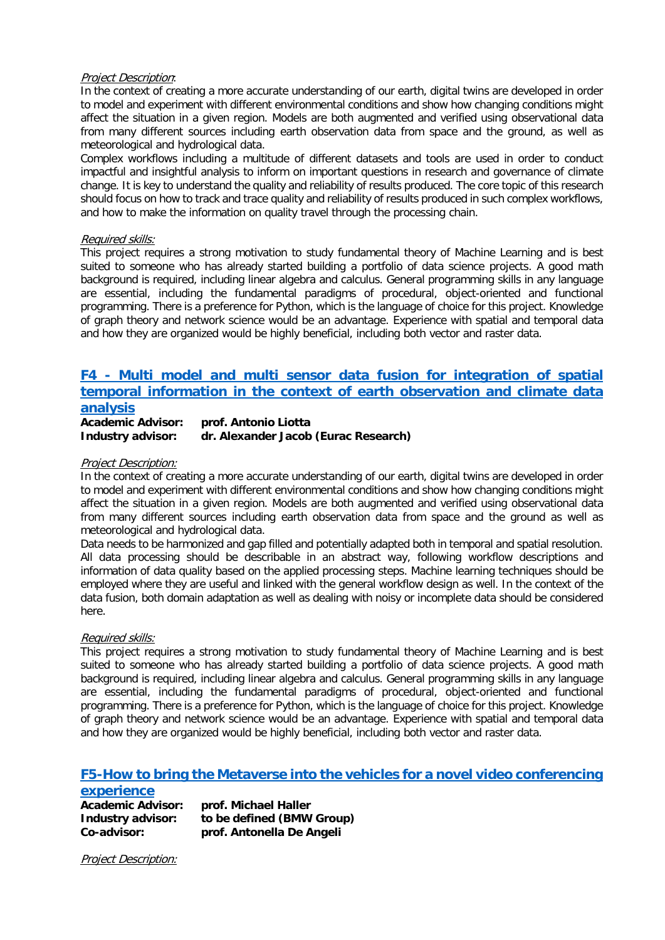### Project Description:

In the context of creating a more accurate understanding of our earth, digital twins are developed in order to model and experiment with different environmental conditions and show how changing conditions might affect the situation in a given region. Models are both augmented and verified using observational data from many different sources including earth observation data from space and the ground, as well as meteorological and hydrological data.

Complex workflows including a multitude of different datasets and tools are used in order to conduct impactful and insightful analysis to inform on important questions in research and governance of climate change. It is key to understand the quality and reliability of results produced. The core topic of this research should focus on how to track and trace quality and reliability of results produced in such complex workflows, and how to make the information on quality travel through the processing chain.

### Required skills:

This project requires a strong motivation to study fundamental theory of Machine Learning and is best suited to someone who has already started building a portfolio of data science projects. A good math background is required, including linear algebra and calculus. General programming skills in any language are essential, including the fundamental paradigms of procedural, object-oriented and functional programming. There is a preference for Python, which is the language of choice for this project. Knowledge of graph theory and network science would be an advantage. Experience with spatial and temporal data and how they are organized would be highly beneficial, including both vector and raster data.

# <span id="page-14-0"></span>**F4 - [Multi model and multi sensor data fusion for integration of spatial](#page-1-0)  [temporal information in the context of earth observation and climate data](#page-1-0)  [analysis](#page-1-0)**

**Academic Advisor: prof. Antonio Liotta Industry advisor: dr. Alexander Jacob (Eurac Research)**

### Project Description:

In the context of creating a more accurate understanding of our earth, digital twins are developed in order to model and experiment with different environmental conditions and show how changing conditions might affect the situation in a given region. Models are both augmented and verified using observational data from many different sources including earth observation data from space and the ground as well as meteorological and hydrological data.

Data needs to be harmonized and gap filled and potentially adapted both in temporal and spatial resolution. All data processing should be describable in an abstract way, following workflow descriptions and information of data quality based on the applied processing steps. Machine learning techniques should be employed where they are useful and linked with the general workflow design as well. In the context of the data fusion, both domain adaptation as well as dealing with noisy or incomplete data should be considered here.

### Required skills:

This project requires a strong motivation to study fundamental theory of Machine Learning and is best suited to someone who has already started building a portfolio of data science projects. A good math background is required, including linear algebra and calculus. General programming skills in any language are essential, including the fundamental paradigms of procedural, object-oriented and functional programming. There is a preference for Python, which is the language of choice for this project. Knowledge of graph theory and network science would be an advantage. Experience with spatial and temporal data and how they are organized would be highly beneficial, including both vector and raster data.

# <span id="page-14-1"></span>**[F5-How to bring the Metaverse into the vehicles for a novel video conferencing](#page-1-1)**

# **[experience](#page-1-1)**

| <b>Academic Advisor:</b> | prof. Michael Haller      |
|--------------------------|---------------------------|
| Industry advisor:        | to be defined (BMW Group) |
| Co-advisor:              | prof. Antonella De Angeli |

Project Description: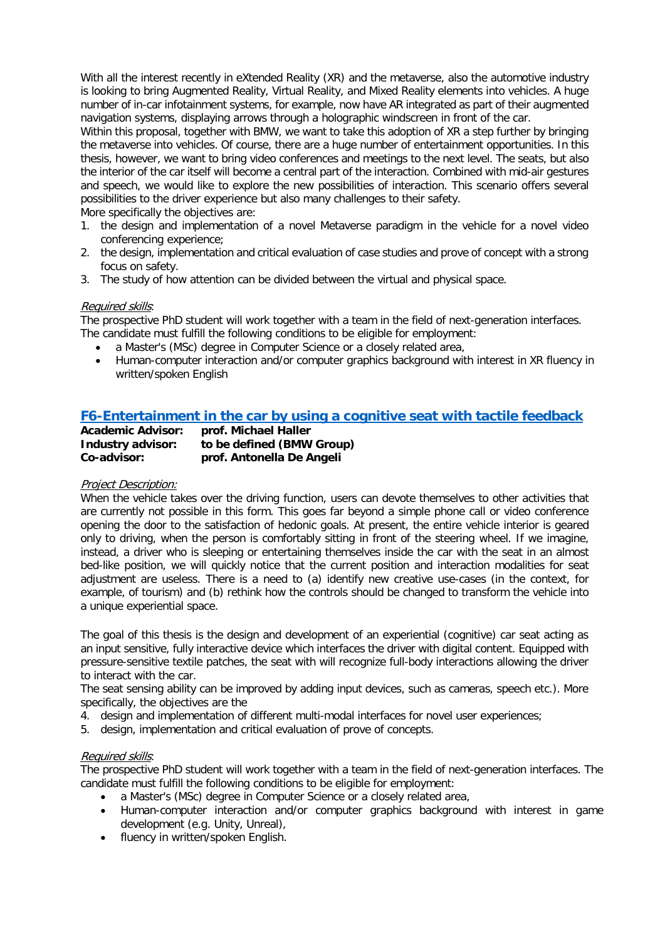With all the interest recently in eXtended Reality (XR) and the metaverse, also the automotive industry is looking to bring Augmented Reality, Virtual Reality, and Mixed Reality elements into vehicles. A huge number of in-car infotainment systems, for example, now have AR integrated as part of their augmented navigation systems, displaying arrows through a holographic windscreen in front of the car.

Within this proposal, together with BMW, we want to take this adoption of XR a step further by bringing the metaverse into vehicles. Of course, there are a huge number of entertainment opportunities. In this thesis, however, we want to bring video conferences and meetings to the next level. The seats, but also the interior of the car itself will become a central part of the interaction. Combined with mid-air gestures and speech, we would like to explore the new possibilities of interaction. This scenario offers several possibilities to the driver experience but also many challenges to their safety.

More specifically the objectives are:

- 1. the design and implementation of a novel Metaverse paradigm in the vehicle for a novel video conferencing experience;
- 2. the design, implementation and critical evaluation of case studies and prove of concept with a strong focus on safety.
- 3. The study of how attention can be divided between the virtual and physical space.

### Required skills:

The prospective PhD student will work together with a team in the field of next-generation interfaces. The candidate must fulfill the following conditions to be eligible for employment:

- a Master's (MSc) degree in Computer Science or a closely related area,
- Human-computer interaction and/or computer graphics background with interest in XR fluency in written/spoken English

# <span id="page-15-0"></span>**[F6-Entertainment in the car by using a cognitive seat with tactile feedback](#page-1-2)**

| <b>Academic Advisor:</b> | prof. Michael Haller      |
|--------------------------|---------------------------|
| Industry advisor:        | to be defined (BMW Group) |
| Co-advisor:              | prof. Antonella De Angeli |

### Project Description:

When the vehicle takes over the driving function, users can devote themselves to other activities that are currently not possible in this form. This goes far beyond a simple phone call or video conference opening the door to the satisfaction of hedonic goals. At present, the entire vehicle interior is geared only to driving, when the person is comfortably sitting in front of the steering wheel. If we imagine, instead, a driver who is sleeping or entertaining themselves inside the car with the seat in an almost bed-like position, we will quickly notice that the current position and interaction modalities for seat adjustment are useless. There is a need to (a) identify new creative use-cases (in the context, for example, of tourism) and (b) rethink how the controls should be changed to transform the vehicle into a unique experiential space.

The goal of this thesis is the design and development of an experiential (cognitive) car seat acting as an input sensitive, fully interactive device which interfaces the driver with digital content. Equipped with pressure-sensitive textile patches, the seat with will recognize full-body interactions allowing the driver to interact with the car.

The seat sensing ability can be improved by adding input devices, such as cameras, speech etc.). More specifically, the objectives are the

- 4. design and implementation of different multi-modal interfaces for novel user experiences;
- 5. design, implementation and critical evaluation of prove of concepts.

### Required skills:

The prospective PhD student will work together with a team in the field of next-generation interfaces. The candidate must fulfill the following conditions to be eligible for employment:

- a Master's (MSc) degree in Computer Science or a closely related area,
- Human-computer interaction and/or computer graphics background with interest in game development (e.g. Unity, Unreal),
- fluency in written/spoken English.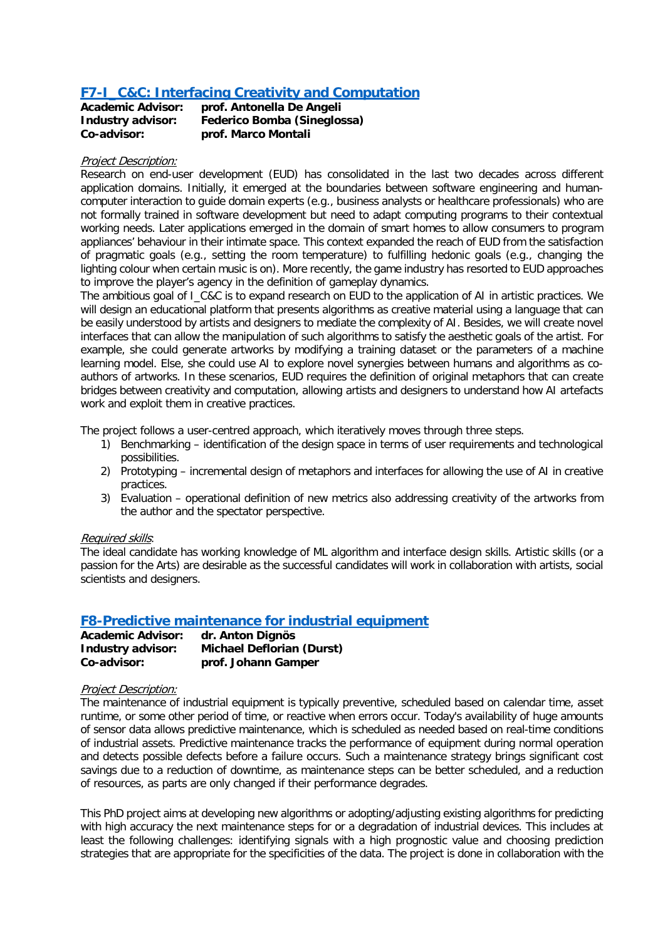# <span id="page-16-0"></span>**[F7-I\\_C&C: Interfacing Creativity and Computation](#page-1-3)**

| <b>Academic Advisor:</b> | prof. Antonella De Angeli          |
|--------------------------|------------------------------------|
| Industry advisor:        | <b>Federico Bomba (Sineglossa)</b> |
| Co-advisor:              | prof. Marco Montali                |

### Project Description:

Research on end-user development (EUD) has consolidated in the last two decades across different application domains. Initially, it emerged at the boundaries between software engineering and humancomputer interaction to guide domain experts (e.g., business analysts or healthcare professionals) who are not formally trained in software development but need to adapt computing programs to their contextual working needs. Later applications emerged in the domain of smart homes to allow consumers to program appliances' behaviour in their intimate space. This context expanded the reach of EUD from the satisfaction of pragmatic goals (e.g., setting the room temperature) to fulfilling hedonic goals (e.g., changing the lighting colour when certain music is on). More recently, the game industry has resorted to EUD approaches to improve the player's agency in the definition of gameplay dynamics.

The ambitious goal of I\_C&C is to expand research on EUD to the application of AI in artistic practices. We will design an educational platform that presents algorithms as creative material using a language that can be easily understood by artists and designers to mediate the complexity of AI. Besides, we will create novel interfaces that can allow the manipulation of such algorithms to satisfy the aesthetic goals of the artist. For example, she could generate artworks by modifying a training dataset or the parameters of a machine learning model. Else, she could use AI to explore novel synergies between humans and algorithms as coauthors of artworks. In these scenarios, EUD requires the definition of original metaphors that can create bridges between creativity and computation, allowing artists and designers to understand how AI artefacts work and exploit them in creative practices.

The project follows a user-centred approach, which iteratively moves through three steps.

- 1) Benchmarking identification of the design space in terms of user requirements and technological possibilities.
- 2) Prototyping incremental design of metaphors and interfaces for allowing the use of AI in creative practices.
- 3) Evaluation operational definition of new metrics also addressing creativity of the artworks from the author and the spectator perspective.

### Required skills:

The ideal candidate has working knowledge of ML algorithm and interface design skills. Artistic skills (or a passion for the Arts) are desirable as the successful candidates will work in collaboration with artists, social scientists and designers.

# <span id="page-16-1"></span>**[F8-Predictive maintenance for industrial equipment](#page-1-0)**

| <b>Academic Advisor:</b> | dr. Anton Dignös                 |
|--------------------------|----------------------------------|
| Industry advisor:        | <b>Michael Deflorian (Durst)</b> |
| Co-advisor:              | prof. Johann Gamper              |

### Project Description:

The maintenance of industrial equipment is typically preventive, scheduled based on calendar time, asset runtime, or some other period of time, or reactive when errors occur. Today's availability of huge amounts of sensor data allows predictive maintenance, which is scheduled as needed based on real-time conditions of industrial assets. Predictive maintenance tracks the performance of equipment during normal operation and detects possible defects before a failure occurs. Such a maintenance strategy brings significant cost savings due to a reduction of downtime, as maintenance steps can be better scheduled, and a reduction of resources, as parts are only changed if their performance degrades.

This PhD project aims at developing new algorithms or adopting/adjusting existing algorithms for predicting with high accuracy the next maintenance steps for or a degradation of industrial devices. This includes at least the following challenges: identifying signals with a high prognostic value and choosing prediction strategies that are appropriate for the specificities of the data. The project is done in collaboration with the